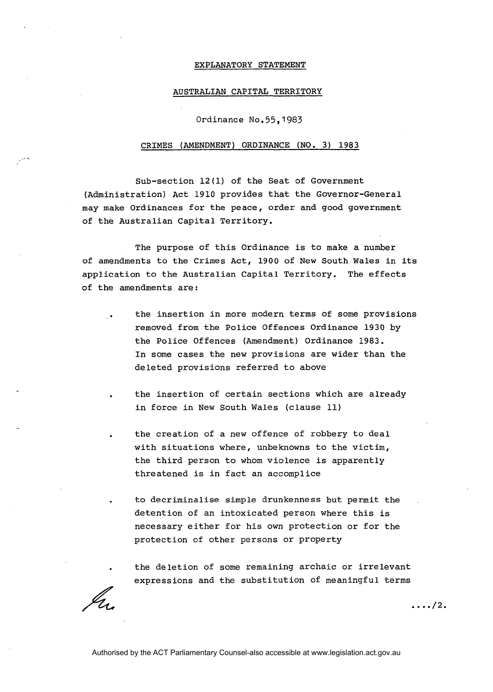## EXPLANATORY STATEMENT

## AUSTRALIAN CAPITAL TERRITORY

Ordinance No.55,1983

## CRIMES (AMENDMENT) ORDINANCE (NO. 3) 1983

Sub-section 12(1) of the Seat of Government (Administration) Act 1910 provides that the Governor-General may make Ordinances for the peace, order and good government of the Australian Capital Territory.

The purpose of this Ordinance is to make a number of amendments to the Crimes Act, 1900 of New South Wales in its application to the Australian Capital Territory. The effects of the amendments are:

> . the insertion in more modern terms of some provisions removed from the Police Offences Ordinance 1930 by the Police Offences (Amendment) Ordinance 1983. In some cases the new provisions are wider than the deleted provisions referred to above

the insertion of certain sections which are already in force in New South Wales (clause 11)

the creation of a new offence of robbery to deal with situations where, unbeknowns to the victim, the third person to whom violence is apparently threatened is in fact an accomplice

. to decriminalise simple drunkenness but permit the detention of an intoxicated person where this is necessary either for his own protection or for the protection of other persons or property

. the deletion of some remaining archaic or irrelevant expressions and the substitution of meaningful terms

 $\ldots/2$ .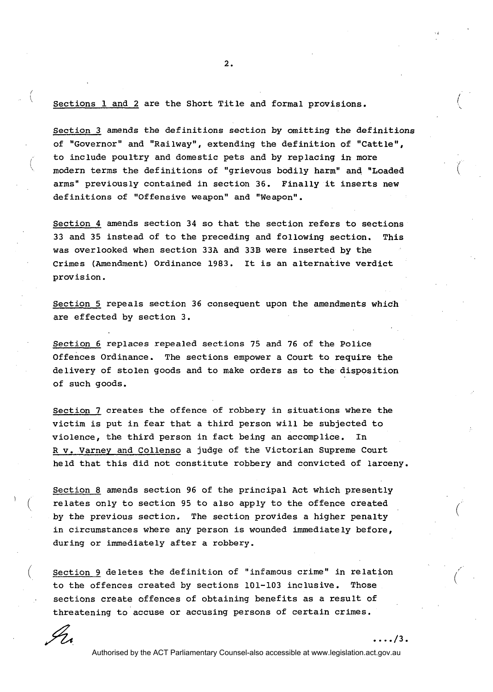Sections 1 and 2 are the Short Title and formal provisions.

Section **3** amends the definitions section by omitting the definitions of "Governor" and "Railway", extending the definition of "Cattle", to include poultry and domestic pets and by replacing in more modern terms the definitions of "grievous bodily harm" and "Loaded arms" previously contained in section **36.** Finally it inserts new definitions of "Offensive weapon" and "Weapon".

Section **4** amends section **34** so that the section refers to sections **33** and **35** instead of to the preceding and following section. This was overlooked when section **33A** and **33B** were inserted by the Crimes (Amendment) Ordinance **1983.** It is an alternative verdict provision.

Section 5 repeals section **36** consequent upon the amendments which are effected by section **3.** 

Section **6** replaces repealed sections **75** and **76** of the Police offences Ordinance. The sections empower a Court to require the delivery of stolen goods and to make orders as to the disposition of such goods.

Section 7 creates the of fence of robbery in situations where the victim is put in fear that a third person will be subjected to violence, the third person in fact being an accomplice. In R v. Varney and Collenso a judge of the Victorian Supreme Court held that this did not constitute robbery and convicted of larceny.

Section **8** amends section **96** of the principal Act which presently relates only to section 95 to also apply to the offence created by the previous section. The section provides a higher penalty in circumstances where any person is wounded immediate ly before, during or immediately after a robbery.

Section 9 deletes the definition of "infamous crime" in relation<br>to the offences created by sections 101-103 inclusive. Those to the offences created by sections 101-103 inclusive. . sections create offences of obtaining benefits as a result of threatening to accuse or accusing persons of certain crimes.

I n

 $\mathbf{I}$ 

Authorised by the ACT Parliamentary Counsel-also accessible at www.legislation.act.gov.au

 $\ldots/3$ .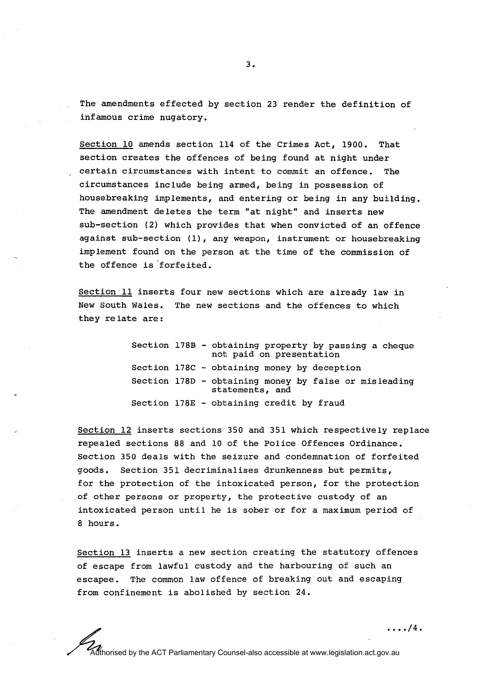The amendments effected by section 23 render the definition of infamous crime nugatory.

Section 10 amends section 114 of the Crimes Act, 1900. That section creates the offences of being found at night under certain circumstances with intent to commit an offence. The circumstances include being armed, being in possession of housebreaking implements, and entering or being in any building. The amendment deletes the term "at night" and inserts new sub-section (2) which provides that when convicted of an offence against sub-section (1), any weapon, instrument or housebreaking implement found on the person at the time of the commission of the offence is 'forfeited.

Section 11 inserts four new sections which are already law in New South Wales. The new sections and the offences to which they relate are:

> Section 178B - obtaining property by passing a cheque not paid on presentation Section 178C - obtaining money by deception Section 178D - obtaining money by false or misleading statements, and Section 178E - obtaining credit by fraud

Section 12 inserts sections 350 and 351 which respectively replace repealed sections 88 and 10 of the Police Offences Ordinance. Section 350 deals with the seizure and condemnation of forfeited goods. Section 351 decriminalises drunkenness but permits, for the protection of the intoxicated person, for the protection of other persons or property, the protective custody of an intoxicated person until he is sober or for a maximum period of 8 hours.

Section 13 inserts a new section creating the statutory offences of escape from lawful custody and the harbouring of such an escapee. The common law offence of breaking out and escaping from confinement is abolished by section 24.

 $\ldots$  /4.

Authorised by the ACT Parliamentary Counsel-also accessible at www.legislation.act.gov.au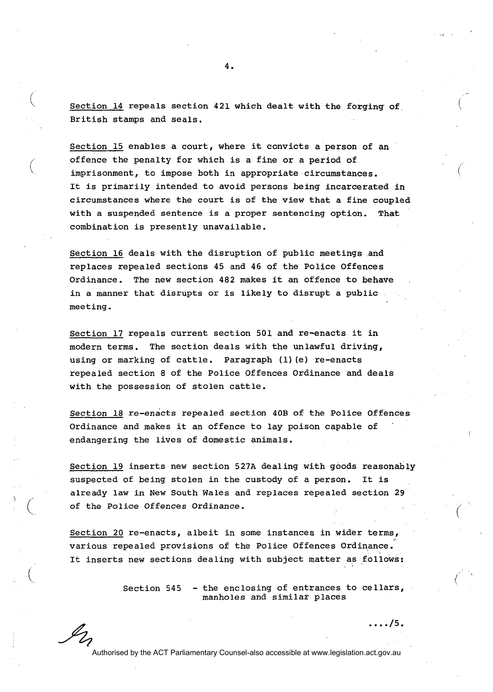Section 14 repeals section 421 which dealt with the forging of

British stamps and seals.

 $\mathscr{L}_\mathcal{L}$ 

combination is presently unavailable.

Section 15 enables a court, where it convicts a person of an offence the penalty for which is a fine or a period of imprisonment, to impose both in appropriate circumstances. It is primarily intended to avoid persons being incarcerated in circumstances where the court is of the view that a fine coupled

with a suspended sentence is a proper sentencing option. That

Section 16 deals with the disruption of public meetings and replaces repealed sections 45 and 46 of the Police Offences Ordinance. The new section 482 makes it an offence to behave in a manner that disrupts or is likely to disrupt a public meeting.

Section 17 repeals current section 501 and re-enacts it in modern terms. The section deals with the unlawful driving, using or marking of cattle. Paragraph (1) (e) re-enacts repealed section 8 of the Police Offences Ordinance and deals with the possession of stolen cattle.

Section 18 re-enacts repealed section 40B of the Police Offences Ordinance and makes it an offence to lay poison capable of ' endangering the lives of domestic animals.

Section 19 inserts new section 527A dealing with goods reasonably suspected of being stolen in the custody of a person. It is already law in New South Wales and replaces repealed section 29 of the Police Offences Ordinance.

Section 20 re-enacts, albeit in some instances in wider terms, various repealed provisions of the Police Offences Ordinance. It inserts new sections dealing with subject matter as follows:

> Section 545 - the enclosing of entrances to cellars, manholes and similat places

> > $\ldots/5$ .

Authorised by the ACT Parliamentary Counsel-also accessible at www.legislation.act.gov.au